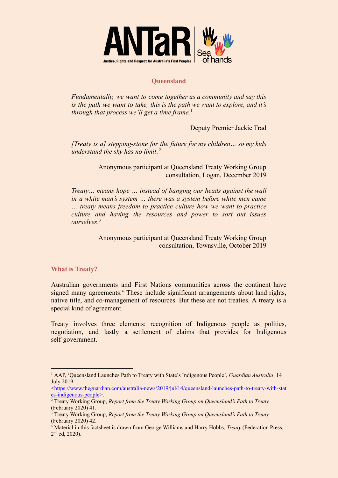

## **Queensland**

*Fundamentally, we want to come together as a community and say this is the path we want to take, this is the path we want to explore, and it's through that process we'll get a time frame.*<sup>1</sup>

Deputy Premier Jackie Trad

*[Treaty is a] stepping-stone for the future for my children… so my kids understand the sky has no limit*. 2

> Anonymous participant at Queensland Treaty Working Group consultation, Logan, December 2019

*Treaty… means hope … instead of banging our heads against the wall in a white man's system … there was a system before white men came … treaty means freedom to practice culture how we want to practice culture and having the resources and power to sort out issues ourselves*. 3

> Anonymous participant at Queensland Treaty Working Group consultation, Townsville, October 2019

## **What is Treaty?**

Australian governments and First Nations communities across the continent have signed many agreements.<sup>4</sup> These include significant arrangements about land rights, native title, and co-management of resources. But these are not treaties. A treaty is a special kind of agreement.

Treaty involves three elements: recognition of Indigenous people as polities, negotiation, and lastly a settlement of claims that provides for Indigenous self-government.

<sup>1</sup> AAP, 'Queensland Launches Path to Treaty with State's Indigenous People', *Guardian Australia*, 14 July 2019

<sup>&</sup>lt;[https://www.theguardian.com/australia-news/2019/jul/14/queensland-launches-path-to-treaty-with-stat](https://www.theguardian.com/australia-news/2019/jul/14/queensland-launches-path-to-treaty-with-states-indigenous-people) [es-indigenous-people](https://www.theguardian.com/australia-news/2019/jul/14/queensland-launches-path-to-treaty-with-states-indigenous-people)>.

<sup>2</sup> Treaty Working Group, *Report from the Treaty Working Group on Queensland's Path to Treaty* (February 2020) 41.

<sup>3</sup> Treaty Working Group, *Report from the Treaty Working Group on Queensland's Path to Treaty* (February 2020) 42.

<sup>4</sup> Material in this factsheet is drawn from George Williams and Harry Hobbs, *Treaty* (Federation Press, 2<sup>nd</sup> ed, 2020).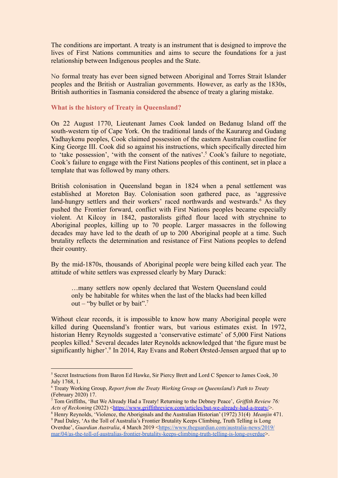The conditions are important. A treaty is an instrument that is designed to improve the lives of First Nations communities and aims to secure the foundations for a just relationship between Indigenous peoples and the State.

No formal treaty has ever been signed between Aboriginal and Torres Strait Islander peoples and the British or Australian governments. However, as early as the 1830s, British authorities in Tasmania considered the absence of treaty a glaring mistake.

## **What is the history of Treaty in Queensland?**

On 22 August 1770, Lieutenant James Cook landed on Bedanug Island off the south-western tip of Cape York. On the traditional lands of the Kaurareg and Gudang Yadhaykenu peoples, Cook claimed possession of the eastern Australian coastline for King George III. Cook did so against his instructions, which specifically directed him to 'take possession', 'with the consent of the natives'.<sup>5</sup> Cook's failure to negotiate, Cook's failure to engage with the First Nations peoples of this continent, set in place a template that was followed by many others.

British colonisation in Queensland began in 1824 when a penal settlement was established at Moreton Bay. Colonisation soon gathered pace, as 'aggressive land-hungry settlers and their workers' raced northwards and westwards.<sup>6</sup> As they pushed the Frontier forward, conflict with First Nations peoples became especially violent. At Kilcoy in 1842, pastoralists gifted flour laced with strychnine to Aboriginal peoples, killing up to 70 people. Larger massacres in the following decades may have led to the death of up to 200 Aboriginal people at a time. Such brutality reflects the determination and resistance of First Nations peoples to defend their country.

By the mid-1870s, thousands of Aboriginal people were being killed each year. The attitude of white settlers was expressed clearly by Mary Durack:

…many settlers now openly declared that Western Queensland could only be habitable for whites when the last of the blacks had been killed out – "by bullet or by bait".<sup>7</sup>

Without clear records, it is impossible to know how many Aboriginal people were killed during Queensland's frontier wars, but various estimates exist. In 1972, historian Henry Reynolds suggested a 'conservative estimate' of 5,000 First Nations peoples killed.<sup>8</sup> Several decades later Reynolds acknowledged that 'the figure must be significantly higher'.<sup>9</sup> In 2014, Ray Evans and Robert Ørsted-Jensen argued that up to

<sup>5</sup> Secret Instructions from Baron Ed Hawke, Sir Piercy Brett and Lord C Spencer to James Cook, 30 July 1768, 1.

<sup>6</sup> Treaty Working Group, *Report from the Treaty Working Group on Queensland's Path to Treaty* (February 2020) 17.

<sup>7</sup> Tom Griffiths, 'But We Already Had a Treaty! Returning to the Debney Peace', *Grif ith Review 76: Acts of Reckoning* (2022) [<https://www.griffithreview.com/articles/but-we-already-had-a-treaty/](https://www.griffithreview.com/articles/but-we-already-had-a-treaty/)>.

<sup>9</sup> Paul Daley, 'As the Toll of Australia's Frontier Brutality Keeps Climbing, Truth Telling is Long <sup>8</sup> Henry Reynolds, 'Violence, the Aboriginals and the Australian Historian' (1972) 31(4) *Meanjin* 471.

Overdue', *Guardian Australia*, 4 March 2019 [<https://www.theguardian.com/australia-news/2019/](https://www.theguardian.com/australia-news/2019/mar/04/as-the-toll-of-australias-frontier-brutality-keeps-climbing-truth-telling-is-long-overdue) [mar/04/as-the-toll-of-australias-frontier-brutality-keeps-climbing-truth-telling-is-long-overdue](https://www.theguardian.com/australia-news/2019/mar/04/as-the-toll-of-australias-frontier-brutality-keeps-climbing-truth-telling-is-long-overdue)>.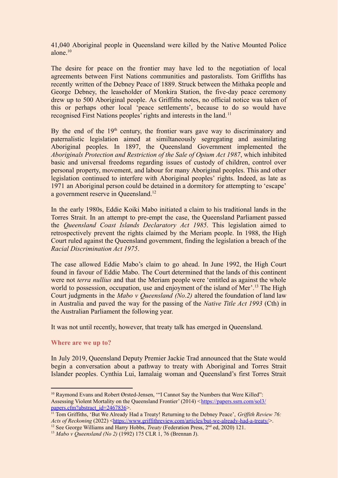41,040 Aboriginal people in Queensland were killed by the Native Mounted Police alone $10$ 

The desire for peace on the frontier may have led to the negotiation of local agreements between First Nations communities and pastoralists. Tom Griffiths has recently written of the Debney Peace of 1889. Struck between the Mithaka people and George Debney, the leaseholder of Monkira Station, the five-day peace ceremony drew up to 500 Aboriginal people. As Griffiths notes, no official notice was taken of this or perhaps other local 'peace settlements', because to do so would have recognised First Nations peoples' rights and interests in the land. <sup>11</sup>

By the end of the  $19<sup>th</sup>$  century, the frontier wars gave way to discriminatory and paternalistic legislation aimed at similtaneously segregating and assimilating Aboriginal peoples. In 1897, the Queensland Government implemented the *Aboriginals Protection and Restriction of the Sale of Opium Act 1987*, which inhibited basic and universal freedoms regarding issues of custody of children, control over personal property, movement, and labour for many Aboriginal peoples. This and other legislation continued to interfere with Aboriginal peoples' rights. Indeed, as late as 1971 an Aboriginal person could be detained in a dormitory for attempting to 'escape' a government reserve in Queensland.<sup>12</sup>

In the early 1980s, Eddie Koiki Mabo initiated a claim to his traditional lands in the Torres Strait. In an attempt to pre-empt the case, the Queensland Parliament passed the *Queensland Coast Islands Declaratory Act 1985*. This legislation aimed to retrospectively prevent the rights claimed by the Meriam people. In 1988, the High Court ruled against the Queensland government, finding the legislation a breach of the *Racial Discrimination Act 1975*.

The case allowed Eddie Mabo's claim to go ahead. In June 1992, the High Court found in favour of Eddie Mabo. The Court determined that the lands of this continent were not *terra nullius* and that the Meriam people were 'entitled as against the whole world to possession, occupation, use and enjoyment of the island of Mer'.<sup>13</sup> The High Court judgments in the *Mabo v Queensland (No.2)* altered the foundation of land law in Australia and paved the way for the passing of the *Native Title Act 1993* (Cth) in the Australian Parliament the following year.

It was not until recently, however, that treaty talk has emerged in Queensland.

## **Where are we up to?**

In July 2019, Queensland Deputy Premier Jackie Trad announced that the State would begin a conversation about a pathway to treaty with Aboriginal and Torres Strait Islander peoples. Cynthia Lui, Iamalaig woman and Queensland's first Torres Strait

<sup>&</sup>lt;sup>10</sup> Raymond Evans and Robert Ørsted-Jensen, "'I Cannot Say the Numbers that Were Killed": Assessing Violent Mortality on the Queensland Frontier' (2014) <[https://papers.ssrn.com/sol3/](https://papers.ssrn.com/sol3/papers.cfm?abstract_id=2467836) [papers.cfm?abstract\\_id=2467836](https://papers.ssrn.com/sol3/papers.cfm?abstract_id=2467836)>.

<sup>&</sup>lt;sup>11</sup> Tom Griffiths, 'But We Already Had a Treaty! Returning to the Debney Peace', *Griffith Review 76: Acts of Reckoning* (2022) [<https://www.griffithreview.com/articles/but-we-already-had-a-treaty/](https://www.griffithreview.com/articles/but-we-already-had-a-treaty/)>.

<sup>&</sup>lt;sup>12</sup> See George Williams and Harry Hobbs, *Treaty* (Federation Press, 2<sup>nd</sup> ed, 2020) 121.

<sup>13</sup> *Mabo v Queensland (No 2)* (1992) 175 CLR 1, 76 (Brennan J).